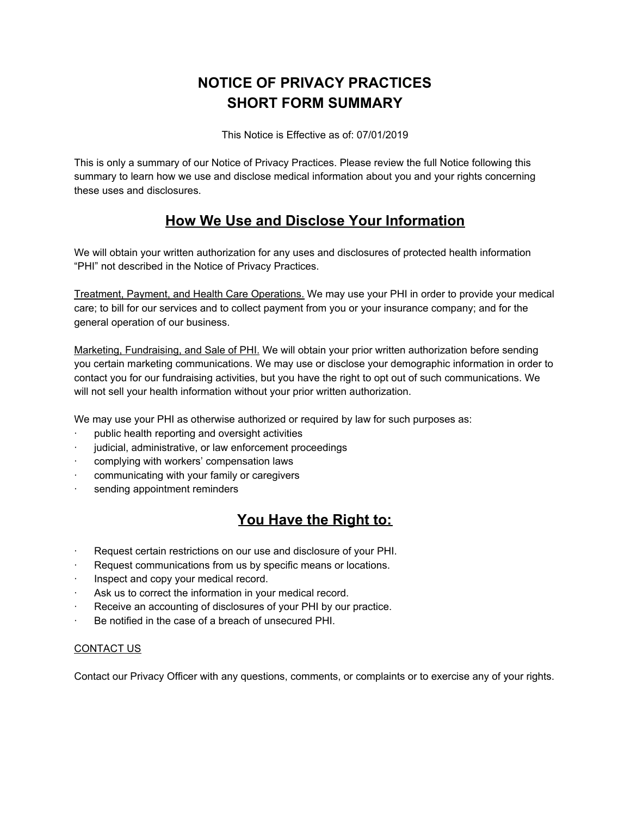# **NOTICE OF PRIVACY PRACTICES SHORT FORM SUMMARY**

This Notice is Effective as of: 07/01/2019

This is only a summary of our Notice of Privacy Practices. Please review the full Notice following this summary to learn how we use and disclose medical information about you and your rights concerning these uses and disclosures.

# **How We Use and Disclose Your Information**

We will obtain your written authorization for any uses and disclosures of protected health information "PHI" not described in the Notice of Privacy Practices.

Treatment, Payment, and Health Care Operations. We may use your PHI in order to provide your medical care; to bill for our services and to collect payment from you or your insurance company; and for the general operation of our business.

Marketing, Fundraising, and Sale of PHI. We will obtain your prior written authorization before sending you certain marketing communications. We may use or disclose your demographic information in order to contact you for our fundraising activities, but you have the right to opt out of such communications. We will not sell your health information without your prior written authorization.

We may use your PHI as otherwise authorized or required by law for such purposes as:

- public health reporting and oversight activities
- judicial, administrative, or law enforcement proceedings
- complying with workers' compensation laws
- · communicating with your family or caregivers
- sending appointment reminders

# **You Have the Right to:**

- Request certain restrictions on our use and disclosure of your PHI.
- Request communications from us by specific means or locations.
- Inspect and copy your medical record.
- Ask us to correct the information in your medical record.
- Receive an accounting of disclosures of your PHI by our practice.
- · Be notified in the case of a breach of unsecured PHI.

#### CONTACT US

Contact our Privacy Officer with any questions, comments, or complaints or to exercise any of your rights.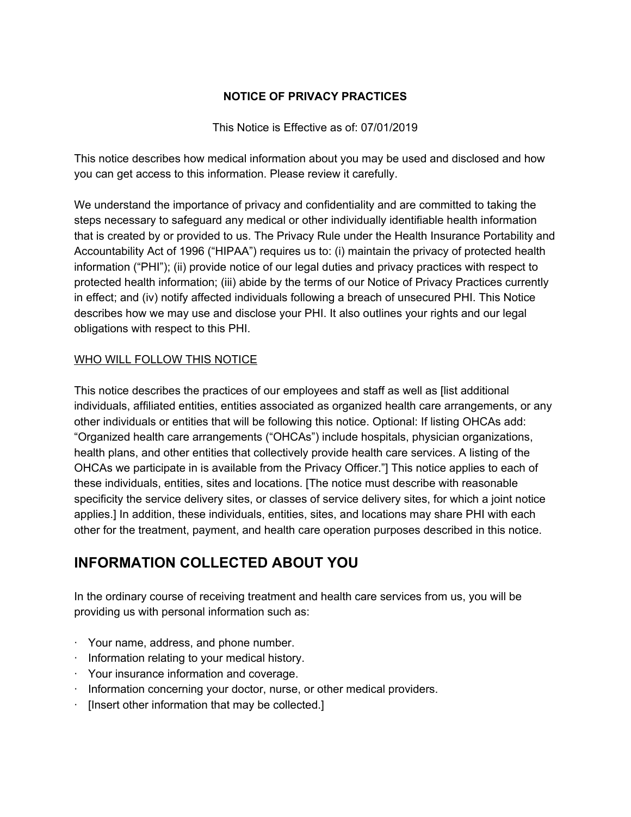## **NOTICE OF PRIVACY PRACTICES**

This Notice is Effective as of: 07/01/2019

This notice describes how medical information about you may be used and disclosed and how you can get access to this information. Please review it carefully.

We understand the importance of privacy and confidentiality and are committed to taking the steps necessary to safeguard any medical or other individually identifiable health information that is created by or provided to us. The Privacy Rule under the Health Insurance Portability and Accountability Act of 1996 ("HIPAA") requires us to: (i) maintain the privacy of protected health information ("PHI"); (ii) provide notice of our legal duties and privacy practices with respect to protected health information; (iii) abide by the terms of our Notice of Privacy Practices currently in effect; and (iv) notify affected individuals following a breach of unsecured PHI. This Notice describes how we may use and disclose your PHI. It also outlines your rights and our legal obligations with respect to this PHI.

# WHO WILL FOLLOW THIS NOTICE

This notice describes the practices of our employees and staff as well as [list additional individuals, affiliated entities, entities associated as organized health care arrangements, or any other individuals or entities that will be following this notice. Optional: If listing OHCAs add: "Organized health care arrangements ("OHCAs") include hospitals, physician organizations, health plans, and other entities that collectively provide health care services. A listing of the OHCAs we participate in is available from the Privacy Officer."] This notice applies to each of these individuals, entities, sites and locations. [The notice must describe with reasonable specificity the service delivery sites, or classes of service delivery sites, for which a joint notice applies.] In addition, these individuals, entities, sites, and locations may share PHI with each other for the treatment, payment, and health care operation purposes described in this notice.

# **INFORMATION COLLECTED ABOUT YOU**

In the ordinary course of receiving treatment and health care services from us, you will be providing us with personal information such as:

- · Your name, address, and phone number.
- · Information relating to your medical history.
- · Your insurance information and coverage.
- $\cdot$  Information concerning your doctor, nurse, or other medical providers.
- · [Insert other information that may be collected.]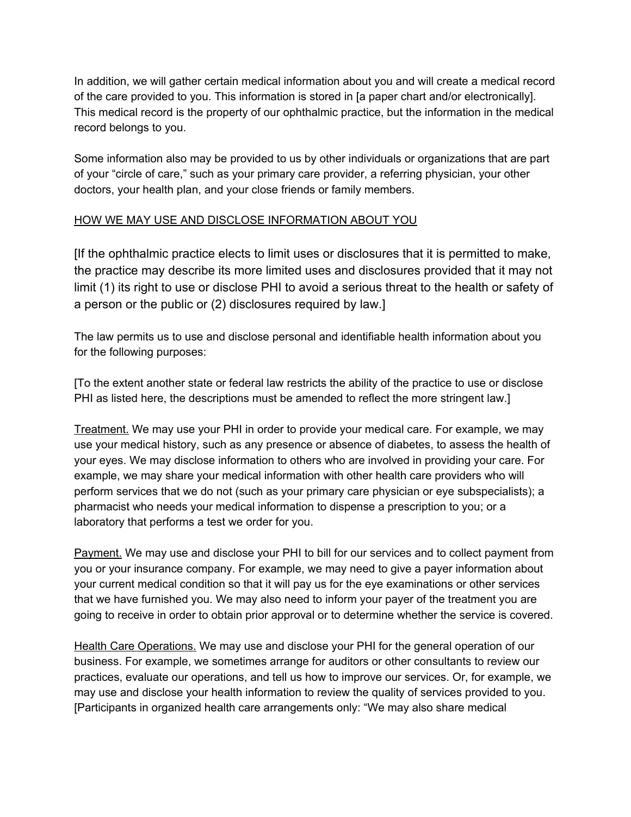In addition, we will gather certain medical information about you and will create a medical record of the care provided to you. This information is stored in [a paper chart and/or electronically]. This medical record is the property of our ophthalmic practice, but the information in the medical record belongs to you.

Some information also may be provided to us by other individuals or organizations that are part of your "circle of care," such as your primary care provider, a referring physician, your other doctors, your health plan, and your close friends or family members.

#### HOW WE MAY USE AND DISCLOSE INFORMATION ABOUT YOU

[If the ophthalmic practice elects to limit uses or disclosures that it is permitted to make, the practice may describe its more limited uses and disclosures provided that it may not limit (1) its right to use or disclose PHI to avoid a serious threat to the health or safety of a person or the public or (2) disclosures required by law.]

The law permits us to use and disclose personal and identifiable health information about you for the following purposes:

[To the extent another state or federal law restricts the ability of the practice to use or disclose PHI as listed here, the descriptions must be amended to reflect the more stringent law.]

Treatment. We may use your PHI in order to provide your medical care. For example, we may use your medical history, such as any presence or absence of diabetes, to assess the health of your eyes. We may disclose information to others who are involved in providing your care. For example, we may share your medical information with other health care providers who will perform services that we do not (such as your primary care physician or eye subspecialists); a pharmacist who needs your medical information to dispense a prescription to you; or a laboratory that performs a test we order for you.

Payment. We may use and disclose your PHI to bill for our services and to collect payment from you or your insurance company. For example, we may need to give a payer information about your current medical condition so that it will pay us for the eye examinations or other services that we have furnished you. We may also need to inform your payer of the treatment you are going to receive in order to obtain prior approval or to determine whether the service is covered.

Health Care Operations. We may use and disclose your PHI for the general operation of our business. For example, we sometimes arrange for auditors or other consultants to review our practices, evaluate our operations, and tell us how to improve our services. Or, for example, we may use and disclose your health information to review the quality of services provided to you. [Participants in organized health care arrangements only: "We may also share medical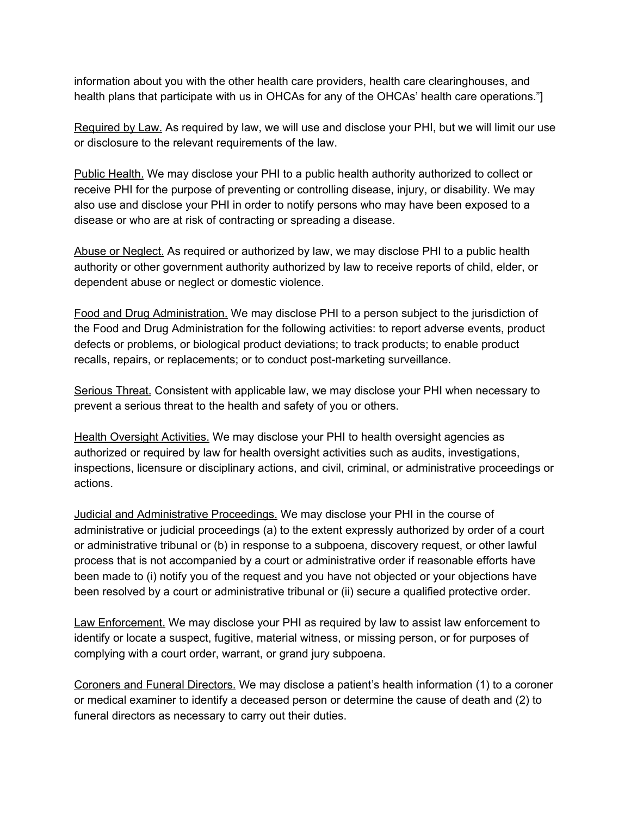information about you with the other health care providers, health care clearinghouses, and health plans that participate with us in OHCAs for any of the OHCAs' health care operations."]

Required by Law. As required by law, we will use and disclose your PHI, but we will limit our use or disclosure to the relevant requirements of the law.

Public Health. We may disclose your PHI to a public health authority authorized to collect or receive PHI for the purpose of preventing or controlling disease, injury, or disability. We may also use and disclose your PHI in order to notify persons who may have been exposed to a disease or who are at risk of contracting or spreading a disease.

Abuse or Neglect. As required or authorized by law, we may disclose PHI to a public health authority or other government authority authorized by law to receive reports of child, elder, or dependent abuse or neglect or domestic violence.

Food and Drug Administration. We may disclose PHI to a person subject to the jurisdiction of the Food and Drug Administration for the following activities: to report adverse events, product defects or problems, or biological product deviations; to track products; to enable product recalls, repairs, or replacements; or to conduct post-marketing surveillance.

Serious Threat. Consistent with applicable law, we may disclose your PHI when necessary to prevent a serious threat to the health and safety of you or others.

Health Oversight Activities. We may disclose your PHI to health oversight agencies as authorized or required by law for health oversight activities such as audits, investigations, inspections, licensure or disciplinary actions, and civil, criminal, or administrative proceedings or actions.

Judicial and Administrative Proceedings. We may disclose your PHI in the course of administrative or judicial proceedings (a) to the extent expressly authorized by order of a court or administrative tribunal or (b) in response to a subpoena, discovery request, or other lawful process that is not accompanied by a court or administrative order if reasonable efforts have been made to (i) notify you of the request and you have not objected or your objections have been resolved by a court or administrative tribunal or (ii) secure a qualified protective order.

Law Enforcement. We may disclose your PHI as required by law to assist law enforcement to identify or locate a suspect, fugitive, material witness, or missing person, or for purposes of complying with a court order, warrant, or grand jury subpoena.

Coroners and Funeral Directors. We may disclose a patient's health information (1) to a coroner or medical examiner to identify a deceased person or determine the cause of death and (2) to funeral directors as necessary to carry out their duties.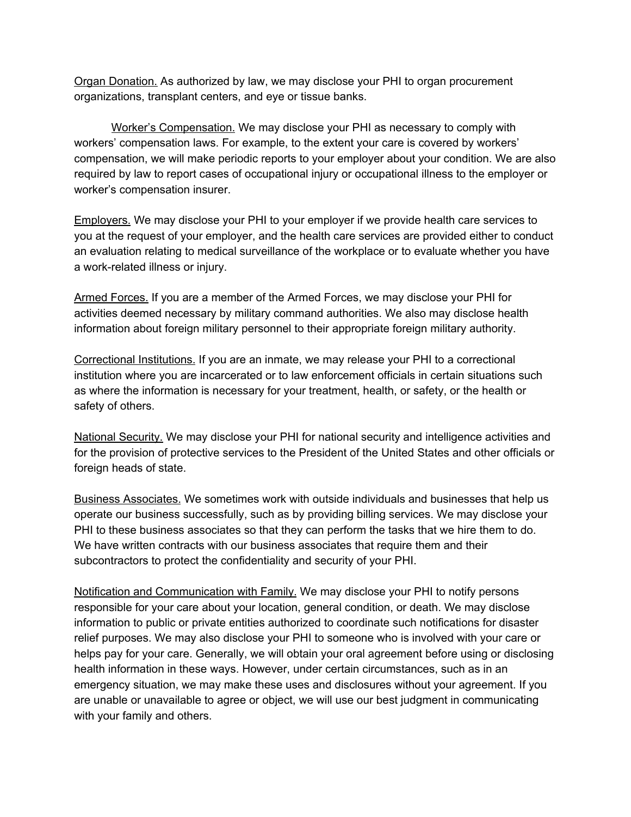Organ Donation. As authorized by law, we may disclose your PHI to organ procurement organizations, transplant centers, and eye or tissue banks.

Worker's Compensation. We may disclose your PHI as necessary to comply with workers' compensation laws. For example, to the extent your care is covered by workers' compensation, we will make periodic reports to your employer about your condition. We are also required by law to report cases of occupational injury or occupational illness to the employer or worker's compensation insurer.

Employers. We may disclose your PHI to your employer if we provide health care services to you at the request of your employer, and the health care services are provided either to conduct an evaluation relating to medical surveillance of the workplace or to evaluate whether you have a work-related illness or injury.

Armed Forces. If you are a member of the Armed Forces, we may disclose your PHI for activities deemed necessary by military command authorities. We also may disclose health information about foreign military personnel to their appropriate foreign military authority.

Correctional Institutions. If you are an inmate, we may release your PHI to a correctional institution where you are incarcerated or to law enforcement officials in certain situations such as where the information is necessary for your treatment, health, or safety, or the health or safety of others.

National Security. We may disclose your PHI for national security and intelligence activities and for the provision of protective services to the President of the United States and other officials or foreign heads of state.

Business Associates. We sometimes work with outside individuals and businesses that help us operate our business successfully, such as by providing billing services. We may disclose your PHI to these business associates so that they can perform the tasks that we hire them to do. We have written contracts with our business associates that require them and their subcontractors to protect the confidentiality and security of your PHI.

Notification and Communication with Family. We may disclose your PHI to notify persons responsible for your care about your location, general condition, or death. We may disclose information to public or private entities authorized to coordinate such notifications for disaster relief purposes. We may also disclose your PHI to someone who is involved with your care or helps pay for your care. Generally, we will obtain your oral agreement before using or disclosing health information in these ways. However, under certain circumstances, such as in an emergency situation, we may make these uses and disclosures without your agreement. If you are unable or unavailable to agree or object, we will use our best judgment in communicating with your family and others.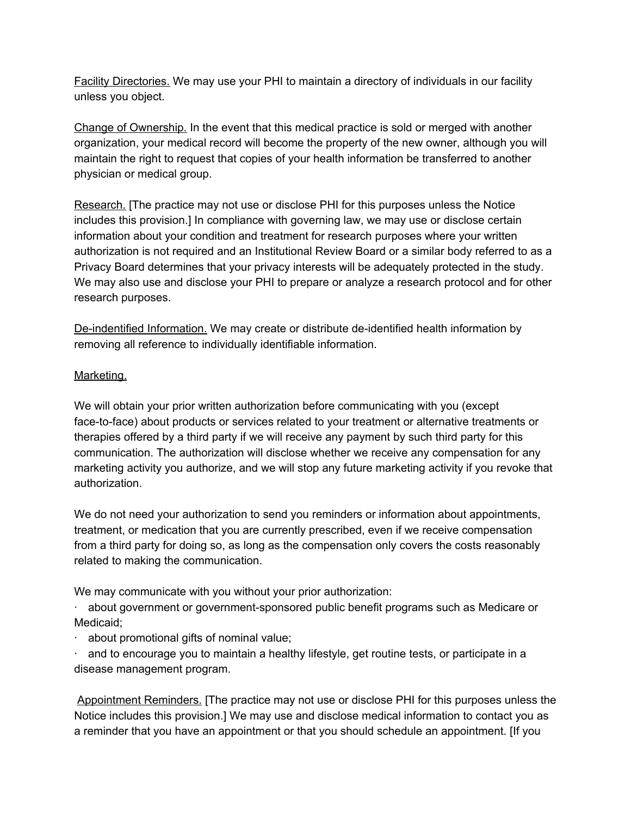Facility Directories. We may use your PHI to maintain a directory of individuals in our facility unless you object.

Change of Ownership. In the event that this medical practice is sold or merged with another organization, your medical record will become the property of the new owner, although you will maintain the right to request that copies of your health information be transferred to another physician or medical group.

Research. [The practice may not use or disclose PHI for this purposes unless the Notice includes this provision.] In compliance with governing law, we may use or disclose certain information about your condition and treatment for research purposes where your written authorization is not required and an Institutional Review Board or a similar body referred to as a Privacy Board determines that your privacy interests will be adequately protected in the study. We may also use and disclose your PHI to prepare or analyze a research protocol and for other research purposes.

De-indentified Information. We may create or distribute de-identified health information by removing all reference to individually identifiable information.

#### Marketing.

We will obtain your prior written authorization before communicating with you (except face-to-face) about products or services related to your treatment or alternative treatments or therapies offered by a third party if we will receive any payment by such third party for this communication. The authorization will disclose whether we receive any compensation for any marketing activity you authorize, and we will stop any future marketing activity if you revoke that authorization.

We do not need your authorization to send you reminders or information about appointments, treatment, or medication that you are currently prescribed, even if we receive compensation from a third party for doing so, as long as the compensation only covers the costs reasonably related to making the communication.

We may communicate with you without your prior authorization:

· about government or government-sponsored public benefit programs such as Medicare or Medicaid;

· about promotional gifts of nominal value;

 $\cdot$  and to encourage you to maintain a healthy lifestyle, get routine tests, or participate in a disease management program.

Appointment Reminders. [The practice may not use or disclose PHI for this purposes unless the Notice includes this provision.] We may use and disclose medical information to contact you as a reminder that you have an appointment or that you should schedule an appointment. [If you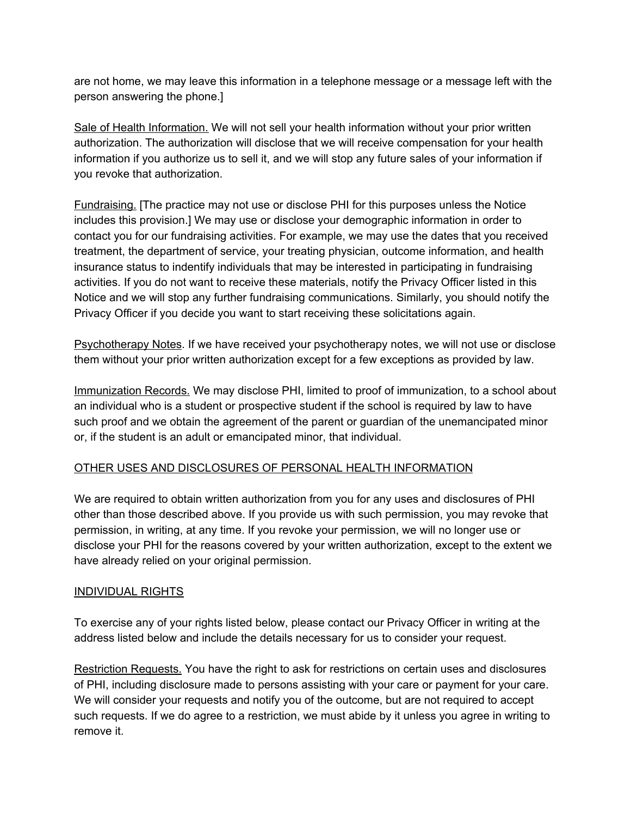are not home, we may leave this information in a telephone message or a message left with the person answering the phone.]

Sale of Health Information. We will not sell your health information without your prior written authorization. The authorization will disclose that we will receive compensation for your health information if you authorize us to sell it, and we will stop any future sales of your information if you revoke that authorization.

Fundraising. [The practice may not use or disclose PHI for this purposes unless the Notice includes this provision.] We may use or disclose your demographic information in order to contact you for our fundraising activities. For example, we may use the dates that you received treatment, the department of service, your treating physician, outcome information, and health insurance status to indentify individuals that may be interested in participating in fundraising activities. If you do not want to receive these materials, notify the Privacy Officer listed in this Notice and we will stop any further fundraising communications. Similarly, you should notify the Privacy Officer if you decide you want to start receiving these solicitations again.

Psychotherapy Notes. If we have received your psychotherapy notes, we will not use or disclose them without your prior written authorization except for a few exceptions as provided by law.

Immunization Records. We may disclose PHI, limited to proof of immunization, to a school about an individual who is a student or prospective student if the school is required by law to have such proof and we obtain the agreement of the parent or guardian of the unemancipated minor or, if the student is an adult or emancipated minor, that individual.

## OTHER USES AND DISCLOSURES OF PERSONAL HEALTH INFORMATION

We are required to obtain written authorization from you for any uses and disclosures of PHI other than those described above. If you provide us with such permission, you may revoke that permission, in writing, at any time. If you revoke your permission, we will no longer use or disclose your PHI for the reasons covered by your written authorization, except to the extent we have already relied on your original permission.

## INDIVIDUAL RIGHTS

To exercise any of your rights listed below, please contact our Privacy Officer in writing at the address listed below and include the details necessary for us to consider your request.

Restriction Requests. You have the right to ask for restrictions on certain uses and disclosures of PHI, including disclosure made to persons assisting with your care or payment for your care. We will consider your requests and notify you of the outcome, but are not required to accept such requests. If we do agree to a restriction, we must abide by it unless you agree in writing to remove it.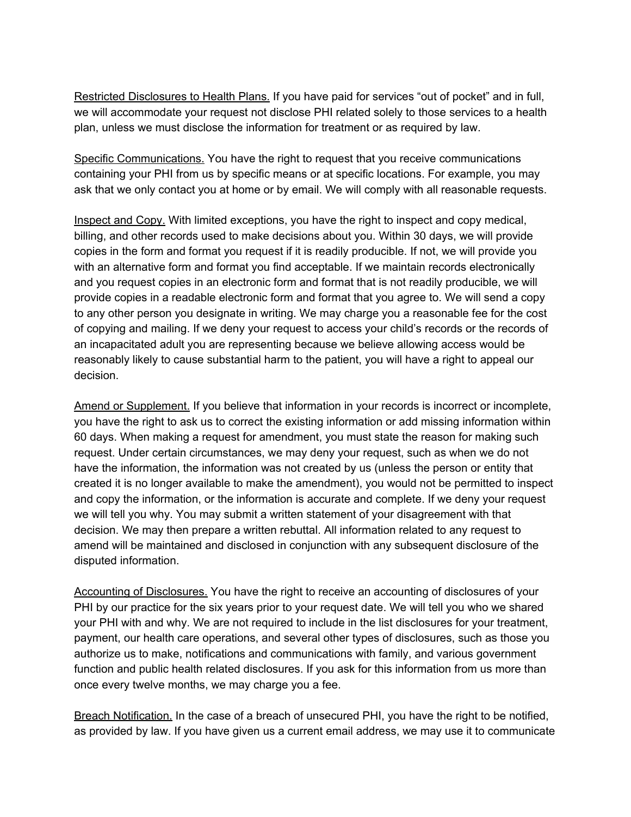Restricted Disclosures to Health Plans. If you have paid for services "out of pocket" and in full, we will accommodate your request not disclose PHI related solely to those services to a health plan, unless we must disclose the information for treatment or as required by law.

Specific Communications. You have the right to request that you receive communications containing your PHI from us by specific means or at specific locations. For example, you may ask that we only contact you at home or by email. We will comply with all reasonable requests.

Inspect and Copy. With limited exceptions, you have the right to inspect and copy medical, billing, and other records used to make decisions about you. Within 30 days, we will provide copies in the form and format you request if it is readily producible. If not, we will provide you with an alternative form and format you find acceptable. If we maintain records electronically and you request copies in an electronic form and format that is not readily producible, we will provide copies in a readable electronic form and format that you agree to. We will send a copy to any other person you designate in writing. We may charge you a reasonable fee for the cost of copying and mailing. If we deny your request to access your child's records or the records of an incapacitated adult you are representing because we believe allowing access would be reasonably likely to cause substantial harm to the patient, you will have a right to appeal our decision.

Amend or Supplement. If you believe that information in your records is incorrect or incomplete, you have the right to ask us to correct the existing information or add missing information within 60 days. When making a request for amendment, you must state the reason for making such request. Under certain circumstances, we may deny your request, such as when we do not have the information, the information was not created by us (unless the person or entity that created it is no longer available to make the amendment), you would not be permitted to inspect and copy the information, or the information is accurate and complete. If we deny your request we will tell you why. You may submit a written statement of your disagreement with that decision. We may then prepare a written rebuttal. All information related to any request to amend will be maintained and disclosed in conjunction with any subsequent disclosure of the disputed information.

Accounting of Disclosures. You have the right to receive an accounting of disclosures of your PHI by our practice for the six years prior to your request date. We will tell you who we shared your PHI with and why. We are not required to include in the list disclosures for your treatment, payment, our health care operations, and several other types of disclosures, such as those you authorize us to make, notifications and communications with family, and various government function and public health related disclosures. If you ask for this information from us more than once every twelve months, we may charge you a fee.

Breach Notification. In the case of a breach of unsecured PHI, you have the right to be notified, as provided by law. If you have given us a current email address, we may use it to communicate